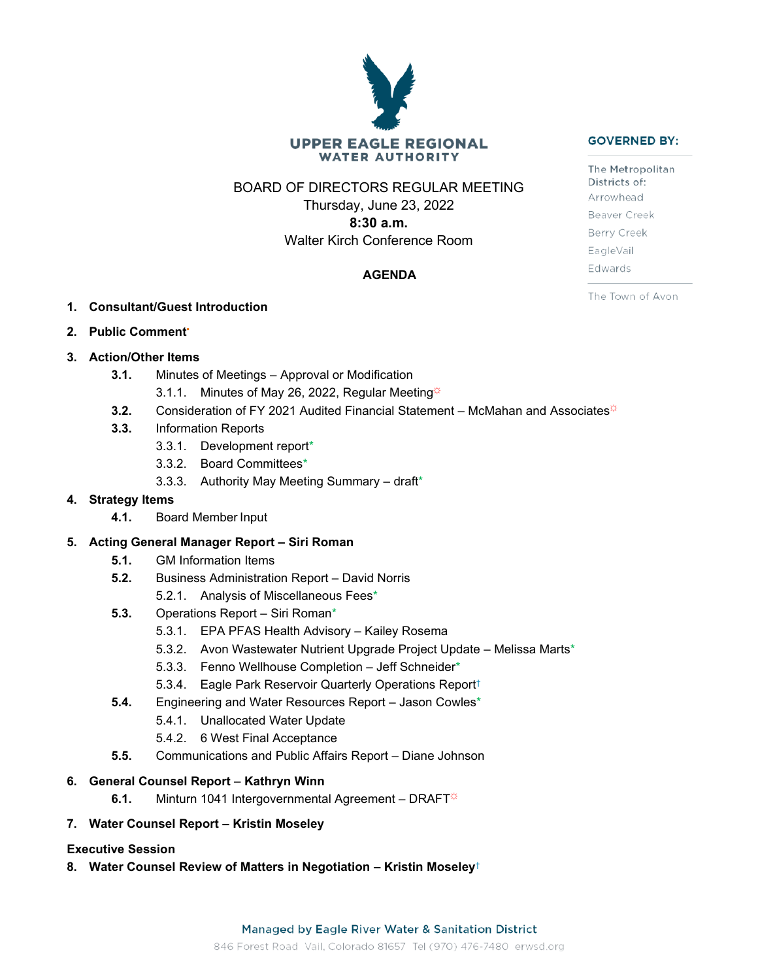# **UPPER EAGLE REGIONAL WATER AUTHORITY**

BOARD OF DIRECTORS REGULAR MEETING

Thursday, June 23, 2022 **8:30 a.m.** Walter Kirch Conference Room

# **AGENDA**

# **1. Consultant/Guest Introduction**

## **2. Public Comment•**

# **3. Action/Other Items**

- **3.1.** Minutes of Meetings Approval or Modification
	- 3.1.1. Minutes of May 26, 2022, Regular Meeting $\ddot{\varphi}$
- **3.2.** Consideration of FY 2021 Audited Financial Statement McMahan and Associates<sup>☆</sup>
- **3.3.** Information Reports
	- 3.3.1. Development report\*
	- 3.3.2. Board Committees\*
	- 3.3.3. Authority May Meeting Summary draft\*

## **4. Strategy Items**

**4.1.** Board Member Input

## **5. Acting General Manager Report – Siri Roman**

- **5.1.** GM Information Items
- **5.2.** Business Administration Report David Norris
	- 5.2.1. Analysis of Miscellaneous Fees\*
- **5.3.** Operations Report Siri Roman\*
	- 5.3.1. EPA PFAS Health Advisory Kailey Rosema
	- 5.3.2. Avon Wastewater Nutrient Upgrade Project Update Melissa Marts\*
	- 5.3.3. Fenno Wellhouse Completion Jeff Schneider\*
	- 5.3.4. Eagle Park Reservoir Quarterly Operations Report†
- **5.4.** Engineering and Water Resources Report Jason Cowles\*
	- 5.4.1. Unallocated Water Update
	- 5.4.2. 6 West Final Acceptance
- **5.5.** Communications and Public Affairs Report Diane Johnson

#### **6. General Counsel Report** – **Kathryn Winn**

**6.1.** Minturn 1041 Intergovernmental Agreement – DRAFT<sup>\*</sup>

#### **7. Water Counsel Report – Kristin Moseley**

## **Executive Session**

**8. Water Counsel Review of Matters in Negotiation – Kristin Moseley**†

**GOVERNED BY:** 

The Metropolitan Districts of: Arrowhead Beaver Creek Berry Creek EagleVail Edwards

The Town of Avon